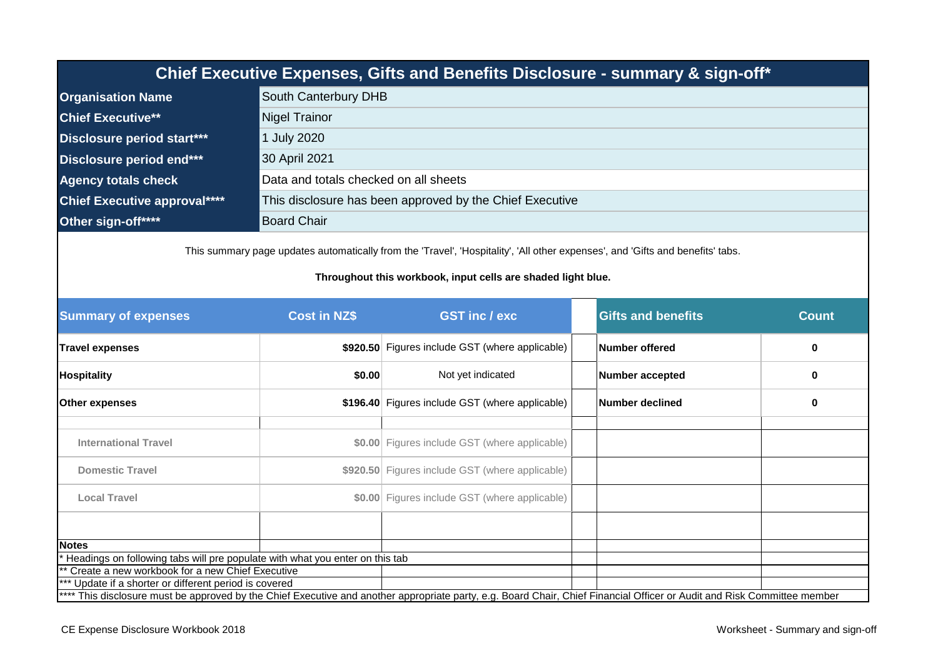| Chief Executive Expenses, Gifts and Benefits Disclosure - summary & sign-off*                                                                                                                  |                                                 |                                                                                                                                                                          |                           |              |  |  |
|------------------------------------------------------------------------------------------------------------------------------------------------------------------------------------------------|-------------------------------------------------|--------------------------------------------------------------------------------------------------------------------------------------------------------------------------|---------------------------|--------------|--|--|
| <b>Organisation Name</b>                                                                                                                                                                       | South Canterbury DHB                            |                                                                                                                                                                          |                           |              |  |  |
| <b>Chief Executive**</b>                                                                                                                                                                       | <b>Nigel Trainor</b>                            |                                                                                                                                                                          |                           |              |  |  |
| Disclosure period start***                                                                                                                                                                     | 1 July 2020                                     |                                                                                                                                                                          |                           |              |  |  |
| Disclosure period end***                                                                                                                                                                       | 30 April 2021                                   |                                                                                                                                                                          |                           |              |  |  |
| <b>Agency totals check</b>                                                                                                                                                                     | Data and totals checked on all sheets           |                                                                                                                                                                          |                           |              |  |  |
| <b>Chief Executive approval****</b>                                                                                                                                                            |                                                 | This disclosure has been approved by the Chief Executive                                                                                                                 |                           |              |  |  |
| Other sign-off****                                                                                                                                                                             | <b>Board Chair</b>                              |                                                                                                                                                                          |                           |              |  |  |
| This summary page updates automatically from the 'Travel', 'Hospitality', 'All other expenses', and 'Gifts and benefits' tabs.<br>Throughout this workbook, input cells are shaded light blue. |                                                 |                                                                                                                                                                          |                           |              |  |  |
| <b>Summary of expenses</b>                                                                                                                                                                     | <b>Cost in NZ\$</b>                             | <b>GST inc/exc</b>                                                                                                                                                       | <b>Gifts and benefits</b> | <b>Count</b> |  |  |
| <b>Travel expenses</b>                                                                                                                                                                         |                                                 | \$920.50 Figures include GST (where applicable)                                                                                                                          | <b>Number offered</b>     | 0            |  |  |
| <b>Hospitality</b>                                                                                                                                                                             | \$0.00                                          | Not yet indicated                                                                                                                                                        | <b>Number accepted</b>    | 0            |  |  |
| Other expenses                                                                                                                                                                                 |                                                 | \$196.40 Figures include GST (where applicable)                                                                                                                          | <b>Number declined</b>    | 0            |  |  |
| <b>International Travel</b>                                                                                                                                                                    |                                                 | \$0.00 Figures include GST (where applicable)                                                                                                                            |                           |              |  |  |
| <b>Domestic Travel</b>                                                                                                                                                                         |                                                 | \$920.50 Figures include GST (where applicable)                                                                                                                          |                           |              |  |  |
| <b>Local Travel</b>                                                                                                                                                                            |                                                 | \$0.00 Figures include GST (where applicable)                                                                                                                            |                           |              |  |  |
|                                                                                                                                                                                                |                                                 |                                                                                                                                                                          |                           |              |  |  |
| <b>Notes</b>                                                                                                                                                                                   |                                                 |                                                                                                                                                                          |                           |              |  |  |
| Headings on following tabs will pre populate with what you enter on this tab                                                                                                                   |                                                 |                                                                                                                                                                          |                           |              |  |  |
|                                                                                                                                                                                                | Create a new workbook for a new Chief Executive |                                                                                                                                                                          |                           |              |  |  |
| Update if a shorter or different period is covered                                                                                                                                             |                                                 | **** This disclosure must be approved by the Chief Executive and another appropriate party, e.g. Board Chair, Chief Financial Officer or Audit and Risk Committee member |                           |              |  |  |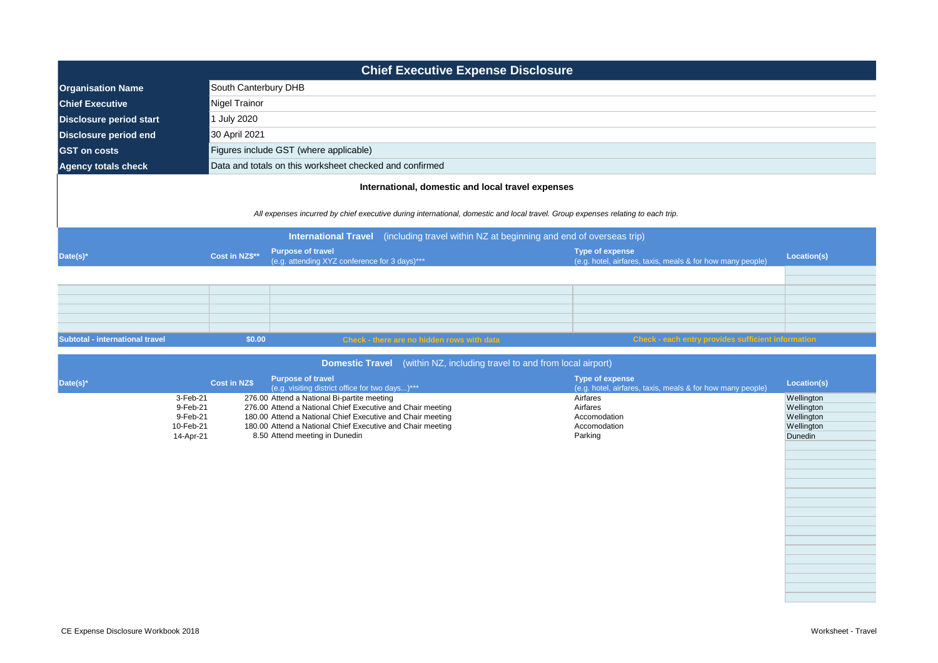| <b>Chief Executive Expense Disclosure</b>                                               |                                                                                                                                 |                                                                                      |             |  |  |  |
|-----------------------------------------------------------------------------------------|---------------------------------------------------------------------------------------------------------------------------------|--------------------------------------------------------------------------------------|-------------|--|--|--|
| <b>Organisation Name</b>                                                                | South Canterbury DHB                                                                                                            |                                                                                      |             |  |  |  |
| <b>Chief Executive</b>                                                                  | Nigel Trainor                                                                                                                   |                                                                                      |             |  |  |  |
| <b>Disclosure period start</b>                                                          | <b>July 2020</b>                                                                                                                |                                                                                      |             |  |  |  |
| <b>Disclosure period end</b>                                                            | 30 April 2021                                                                                                                   |                                                                                      |             |  |  |  |
| <b>GST</b> on costs                                                                     | Figures include GST (where applicable)                                                                                          |                                                                                      |             |  |  |  |
| <b>Agency totals check</b>                                                              | Data and totals on this worksheet checked and confirmed                                                                         |                                                                                      |             |  |  |  |
|                                                                                         | International, domestic and local travel expenses                                                                               |                                                                                      |             |  |  |  |
|                                                                                         | All expenses incurred by chief executive during international, domestic and local travel. Group expenses relating to each trip. |                                                                                      |             |  |  |  |
| International Travel (including travel within NZ at beginning and end of overseas trip) |                                                                                                                                 |                                                                                      |             |  |  |  |
| Date(s)*                                                                                | <b>Purpose of travel</b><br>Cost in NZ\$**<br>(e.g. attending XYZ conference for 3 days)***                                     | <b>Type of expense</b><br>(e.g. hotel, airfares, taxis, meals & for how many people) | Location(s) |  |  |  |
|                                                                                         |                                                                                                                                 |                                                                                      |             |  |  |  |

| Subtotal - international travel | \$0.00 | <b>Check - there are no hidden rows with data</b> | Check - each entry provides sufficient information |  |
|---------------------------------|--------|---------------------------------------------------|----------------------------------------------------|--|
|                                 |        |                                                   |                                                    |  |
|                                 |        |                                                   |                                                    |  |
|                                 |        |                                                   |                                                    |  |
|                                 |        |                                                   |                                                    |  |
|                                 |        |                                                   |                                                    |  |
|                                 |        |                                                   |                                                    |  |

| <b>Domestic Travel</b> (within NZ, including travel to and from local airport) |  |
|--------------------------------------------------------------------------------|--|
|                                                                                |  |

| Date(s)* |           | <b>Purpose of travel</b><br><b>Cost in NZ\$</b><br>(e.g. visiting district office for two days)*** | Type of expense<br>(e.g. hotel, airfares, taxis, meals & for how many people) | Location(s)    |
|----------|-----------|----------------------------------------------------------------------------------------------------|-------------------------------------------------------------------------------|----------------|
|          | 3-Feb-21  | 276.00 Attend a National Bi-partite meeting                                                        | Airfares                                                                      | Wellington     |
|          | 9-Feb-21  | 276.00 Attend a National Chief Executive and Chair meeting                                         | Airfares                                                                      | Wellington     |
|          | 9-Feb-21  | 180.00 Attend a National Chief Executive and Chair meeting                                         | Accomodation                                                                  | Wellington     |
|          | 10-Feb-21 | 180.00 Attend a National Chief Executive and Chair meeting                                         | Accomodation                                                                  | Wellington     |
|          | 14-Apr-21 | 8.50 Attend meeting in Dunedin                                                                     | Parking                                                                       | <b>Dunedin</b> |
|          |           |                                                                                                    |                                                                               |                |
|          |           |                                                                                                    |                                                                               |                |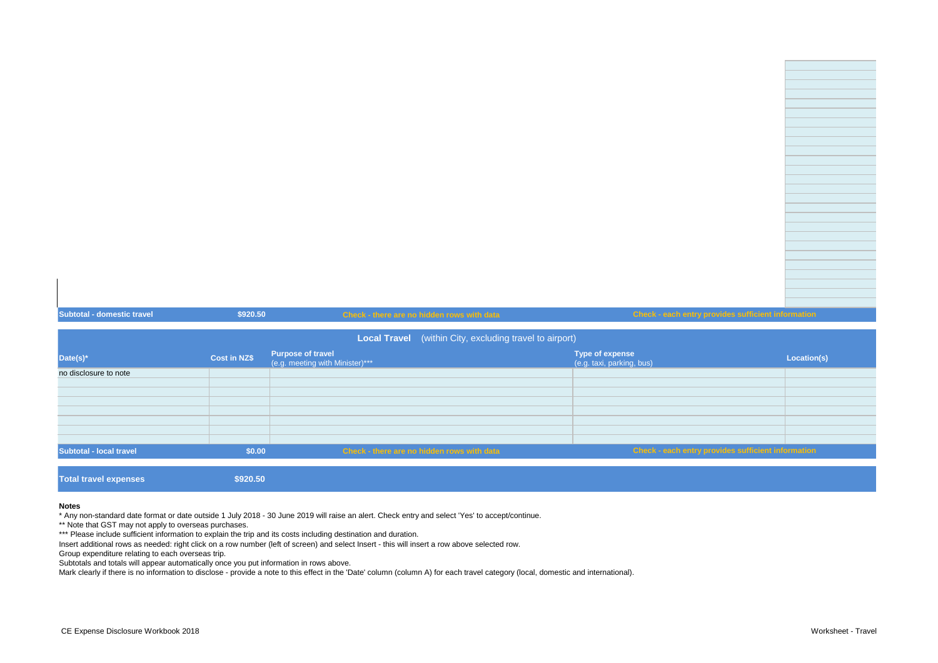| <b>Subtotal - domestic travel</b> | \$920.50            | Check - there are no hidden rows with data                     | Check - each entry provides sufficient information  |             |
|-----------------------------------|---------------------|----------------------------------------------------------------|-----------------------------------------------------|-------------|
|                                   |                     | <b>Local Travel</b> (within City, excluding travel to airport) |                                                     |             |
|                                   |                     |                                                                |                                                     |             |
| Date(s)*                          | <b>Cost in NZ\$</b> | <b>Purpose of travel</b><br>(e.g. meeting with Minister)***    | <b>Type of expense</b><br>(e.g. taxi, parking, bus) | Location(s) |
| no disclosure to note             |                     |                                                                |                                                     |             |
|                                   |                     |                                                                |                                                     |             |
|                                   |                     |                                                                |                                                     |             |
|                                   |                     |                                                                |                                                     |             |
|                                   |                     |                                                                |                                                     |             |

| <b>Total travel expenses</b> | \$920.50 |                                            |                                                    |  |
|------------------------------|----------|--------------------------------------------|----------------------------------------------------|--|
| Subtotal - local travel      | \$0.00   | Check - there are no hidden rows with data | Check - each entry provides sufficient information |  |
|                              |          |                                            |                                                    |  |
|                              |          |                                            |                                                    |  |
|                              |          |                                            |                                                    |  |
|                              |          |                                            |                                                    |  |
|                              |          |                                            |                                                    |  |

## **Notes**

\* Any non-standard date format or date outside 1 July 2018 - 30 June 2019 will raise an alert. Check entry and select 'Yes' to accept/continue.

\*\* Note that GST may not apply to overseas purchases.

\*\*\* Please include sufficient information to explain the trip and its costs including destination and duration.

Insert additional rows as needed: right click on a row number (left of screen) and select Insert - this will insert a row above selected row.

Group expenditure relating to each overseas trip.

Subtotals and totals will appear automatically once you put information in rows above.

Mark clearly if there is no information to disclose - provide a note to this effect in the 'Date' column (column A) for each travel category (local, domestic and international).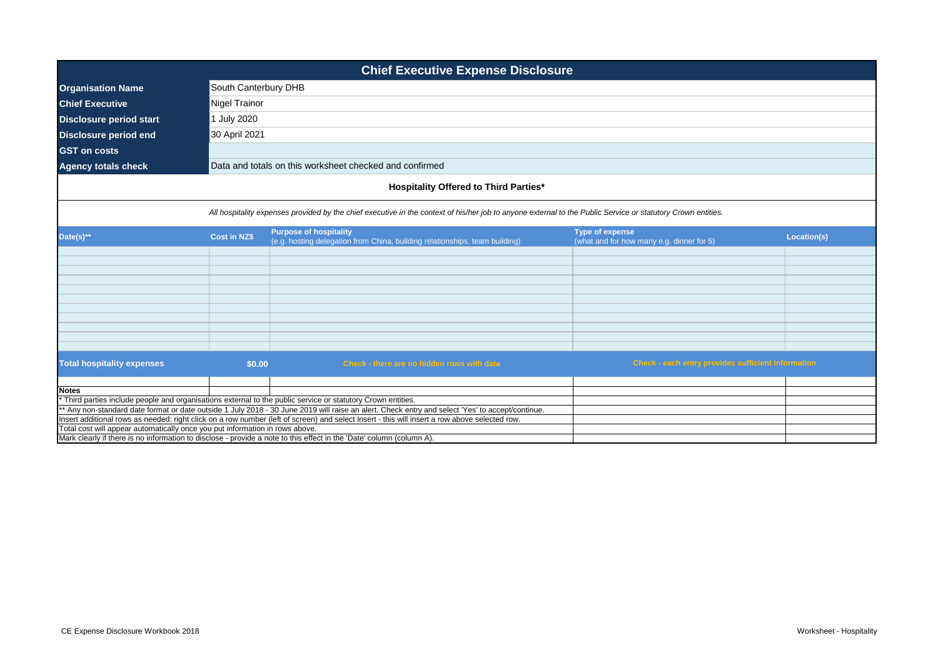| <b>Chief Executive Expense Disclosure</b>                                                                            |                     |                                                                                                                                                                                                                                                                  |                                                                     |             |  |  |
|----------------------------------------------------------------------------------------------------------------------|---------------------|------------------------------------------------------------------------------------------------------------------------------------------------------------------------------------------------------------------------------------------------------------------|---------------------------------------------------------------------|-------------|--|--|
| <b>Organisation Name</b>                                                                                             |                     | South Canterbury DHB                                                                                                                                                                                                                                             |                                                                     |             |  |  |
| <b>Chief Executive</b>                                                                                               | Nigel Trainor       |                                                                                                                                                                                                                                                                  |                                                                     |             |  |  |
| <b>Disclosure period start</b>                                                                                       | 1 July 2020         |                                                                                                                                                                                                                                                                  |                                                                     |             |  |  |
| <b>Disclosure period end</b>                                                                                         | 30 April 2021       |                                                                                                                                                                                                                                                                  |                                                                     |             |  |  |
| <b>GST</b> on costs                                                                                                  |                     |                                                                                                                                                                                                                                                                  |                                                                     |             |  |  |
|                                                                                                                      |                     |                                                                                                                                                                                                                                                                  |                                                                     |             |  |  |
| <b>Agency totals check</b>                                                                                           |                     | Data and totals on this worksheet checked and confirmed                                                                                                                                                                                                          |                                                                     |             |  |  |
|                                                                                                                      |                     | <b>Hospitality Offered to Third Parties*</b>                                                                                                                                                                                                                     |                                                                     |             |  |  |
|                                                                                                                      |                     | All hospitality expenses provided by the chief executive in the context of his/her job to anyone external to the Public Service or statutory Crown entities.                                                                                                     |                                                                     |             |  |  |
| Date(s)**                                                                                                            | <b>Cost in NZ\$</b> | <b>Purpose of hospitality</b><br>(e.g. hosting delegation from China, building relationships, team building)                                                                                                                                                     | <b>Type of expense</b><br>(what and for how many e.g. dinner for 5) | Location(s) |  |  |
|                                                                                                                      |                     |                                                                                                                                                                                                                                                                  |                                                                     |             |  |  |
|                                                                                                                      |                     |                                                                                                                                                                                                                                                                  |                                                                     |             |  |  |
|                                                                                                                      |                     |                                                                                                                                                                                                                                                                  |                                                                     |             |  |  |
|                                                                                                                      |                     |                                                                                                                                                                                                                                                                  |                                                                     |             |  |  |
|                                                                                                                      |                     |                                                                                                                                                                                                                                                                  |                                                                     |             |  |  |
|                                                                                                                      |                     |                                                                                                                                                                                                                                                                  |                                                                     |             |  |  |
|                                                                                                                      |                     |                                                                                                                                                                                                                                                                  |                                                                     |             |  |  |
|                                                                                                                      |                     |                                                                                                                                                                                                                                                                  |                                                                     |             |  |  |
|                                                                                                                      |                     |                                                                                                                                                                                                                                                                  |                                                                     |             |  |  |
| <b>Total hospitality expenses</b>                                                                                    | \$0.00              | Check - there are no hidden rows with data                                                                                                                                                                                                                       | <b>Check - each entry provides sufficient information</b>           |             |  |  |
|                                                                                                                      |                     |                                                                                                                                                                                                                                                                  |                                                                     |             |  |  |
| <b>Notes</b>                                                                                                         |                     |                                                                                                                                                                                                                                                                  |                                                                     |             |  |  |
|                                                                                                                      |                     | * Third parties include people and organisations external to the public service or statutory Crown entities.<br>** Any non-standard date format or date outside 1 July 2018 - 30 June 2019 will raise an alert. Check entry and select 'Yes' to accept/continue. |                                                                     |             |  |  |
|                                                                                                                      |                     | Insert additional rows as needed: right click on a row number (left of screen) and select Insert - this will insert a row above selected row.                                                                                                                    |                                                                     |             |  |  |
| Total cost will appear automatically once you put information in rows above.                                         |                     |                                                                                                                                                                                                                                                                  |                                                                     |             |  |  |
| Mark clearly if there is no information to disclose - provide a note to this effect in the 'Date' column (column A). |                     |                                                                                                                                                                                                                                                                  |                                                                     |             |  |  |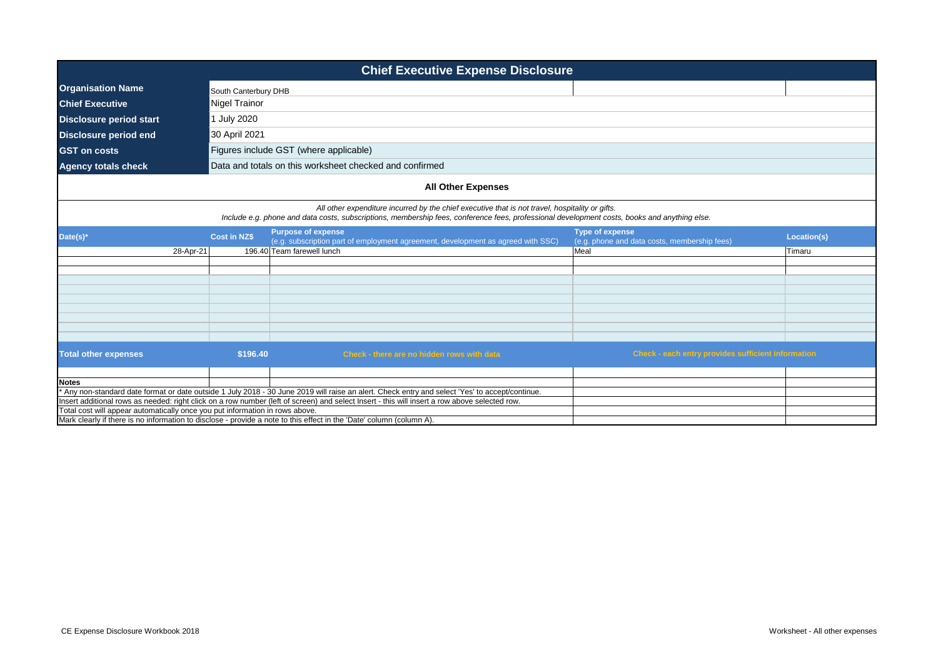| <b>Chief Executive Expense Disclosure</b>                                    |                                                                                                                                                                                                                                                 |                                                                                                                                               |                                                                        |             |  |
|------------------------------------------------------------------------------|-------------------------------------------------------------------------------------------------------------------------------------------------------------------------------------------------------------------------------------------------|-----------------------------------------------------------------------------------------------------------------------------------------------|------------------------------------------------------------------------|-------------|--|
| <b>Organisation Name</b>                                                     | South Canterbury DHB                                                                                                                                                                                                                            |                                                                                                                                               |                                                                        |             |  |
| <b>Chief Executive</b>                                                       | Nigel Trainor                                                                                                                                                                                                                                   |                                                                                                                                               |                                                                        |             |  |
| <b>Disclosure period start</b>                                               | July 2020                                                                                                                                                                                                                                       |                                                                                                                                               |                                                                        |             |  |
| <b>Disclosure period end</b>                                                 | 30 April 2021                                                                                                                                                                                                                                   |                                                                                                                                               |                                                                        |             |  |
| <b>GST on costs</b>                                                          |                                                                                                                                                                                                                                                 | Figures include GST (where applicable)                                                                                                        |                                                                        |             |  |
| <b>Agency totals check</b>                                                   |                                                                                                                                                                                                                                                 | Data and totals on this worksheet checked and confirmed                                                                                       |                                                                        |             |  |
|                                                                              |                                                                                                                                                                                                                                                 |                                                                                                                                               |                                                                        |             |  |
|                                                                              |                                                                                                                                                                                                                                                 | <b>All Other Expenses</b>                                                                                                                     |                                                                        |             |  |
|                                                                              | All other expenditure incurred by the chief executive that is not travel, hospitality or gifts.<br>Include e.g. phone and data costs, subscriptions, membership fees, conference fees, professional development costs, books and anything else. |                                                                                                                                               |                                                                        |             |  |
| Date(s)*                                                                     | <b>Cost in NZ\$</b>                                                                                                                                                                                                                             | <b>Purpose of expense</b><br>(e.g. subscription part of employment agreement, development as agreed with SSC)                                 | <b>Type of expense</b><br>(e.g. phone and data costs, membership fees) | Location(s) |  |
| 28-Apr-21                                                                    |                                                                                                                                                                                                                                                 | 196.40 Team farewell lunch                                                                                                                    | Meal                                                                   | Timaru      |  |
|                                                                              |                                                                                                                                                                                                                                                 |                                                                                                                                               |                                                                        |             |  |
|                                                                              |                                                                                                                                                                                                                                                 |                                                                                                                                               |                                                                        |             |  |
|                                                                              |                                                                                                                                                                                                                                                 |                                                                                                                                               |                                                                        |             |  |
|                                                                              |                                                                                                                                                                                                                                                 |                                                                                                                                               |                                                                        |             |  |
|                                                                              |                                                                                                                                                                                                                                                 |                                                                                                                                               |                                                                        |             |  |
|                                                                              |                                                                                                                                                                                                                                                 |                                                                                                                                               |                                                                        |             |  |
|                                                                              |                                                                                                                                                                                                                                                 |                                                                                                                                               |                                                                        |             |  |
| <b>Total other expenses</b>                                                  | \$196.40                                                                                                                                                                                                                                        | Check - there are no hidden rows with data                                                                                                    | Check - each entry provides sufficient information                     |             |  |
|                                                                              |                                                                                                                                                                                                                                                 |                                                                                                                                               |                                                                        |             |  |
| <b>Notes</b>                                                                 |                                                                                                                                                                                                                                                 |                                                                                                                                               |                                                                        |             |  |
|                                                                              |                                                                                                                                                                                                                                                 | Any non-standard date format or date outside 1 July 2018 - 30 June 2019 will raise an alert. Check entry and select 'Yes' to accept/continue. |                                                                        |             |  |
| Total cost will appear automatically once you put information in rows above. |                                                                                                                                                                                                                                                 | Insert additional rows as needed: right click on a row number (left of screen) and select Insert - this will insert a row above selected row. |                                                                        |             |  |
|                                                                              |                                                                                                                                                                                                                                                 | Mark clearly if there is no information to disclose - provide a note to this effect in the 'Date' column (column A).                          |                                                                        |             |  |